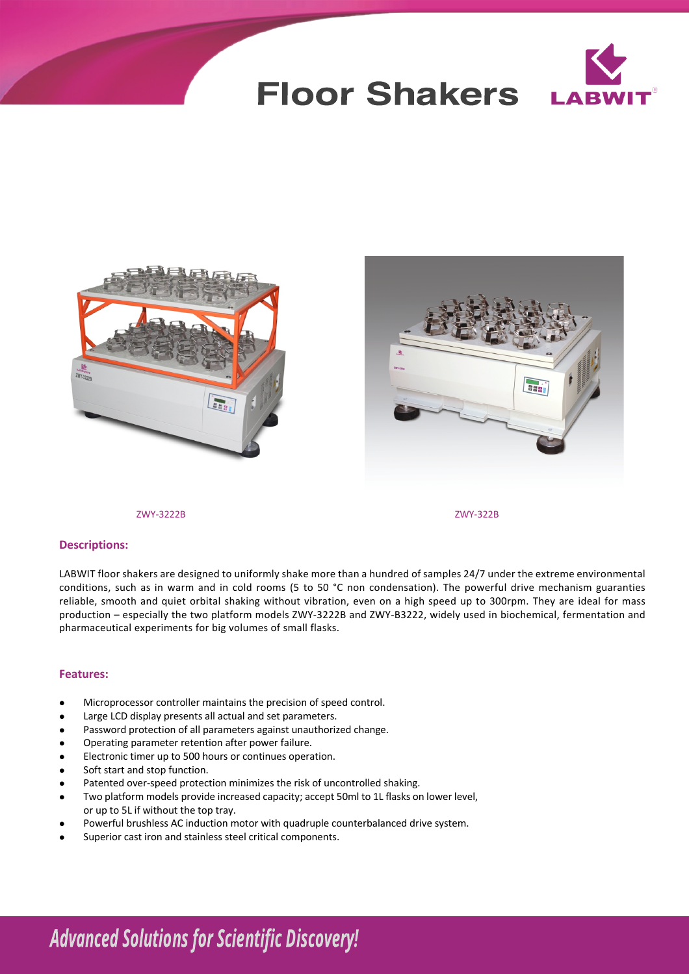





### ZWY-3222B ZWY-322B

### **Descriptions:**

LABWIT floor shakers are designed to uniformly shake more than a hundred of samples 24/7 under the extreme environmental conditions, such as in warm and in cold rooms (5 to 50 °C non condensation). The powerful drive mechanism guaranties reliable, smooth and quiet orbital shaking without vibration, even on a high speed up to 300rpm. They are ideal for mass production – especially the two platform models ZWY-3222B and ZWY-B3222, widely used in biochemical, fermentation and pharmaceutical experiments for big volumes of small flasks.

#### **Features:**

- <sup>l</sup> Microprocessor controller maintains the precision of speed control.
- Large LCD display presents all actual and set parameters.
- Password protection of all parameters against unauthorized change.
- Operating parameter retention after power failure.
- <sup>l</sup> Electronic timer up to 500 hours or continues operation.
- Soft start and stop function.
- Patented over-speed protection minimizes the risk of uncontrolled shaking.
- Two platform models provide increased capacity; accept 50ml to 1L flasks on lower level, or up to 5L if without the top tray.
- Powerful brushless AC induction motor with quadruple counterbalanced drive system.
- Superior cast iron and stainless steel critical components.

# **Advanced Solutions for Scientific Discovery!**